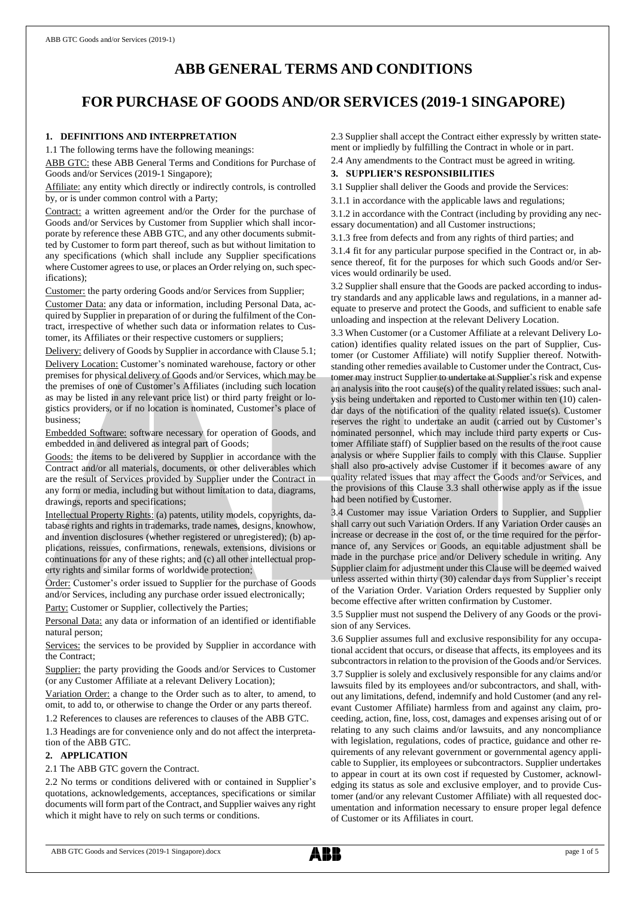# **ABB GENERAL TERMS AND CONDITIONS**

# **FOR PURCHASE OF GOODS AND/OR SERVICES (2019-1 SINGAPORE)**

# **1. DEFINITIONS AND INTERPRETATION**

1.1 The following terms have the following meanings:

ABB GTC: these ABB General Terms and Conditions for Purchase of Goods and/or Services (2019-1 Singapore);

Affiliate: any entity which directly or indirectly controls, is controlled by, or is under common control with a Party;

Contract: a written agreement and/or the Order for the purchase of Goods and/or Services by Customer from Supplier which shall incorporate by reference these ABB GTC, and any other documents submitted by Customer to form part thereof, such as but without limitation to any specifications (which shall include any Supplier specifications where Customer agrees to use, or places an Order relying on, such specifications);

Customer: the party ordering Goods and/or Services from Supplier;

Customer Data: any data or information, including Personal Data, acquired by Supplier in preparation of or during the fulfilment of the Contract, irrespective of whether such data or information relates to Customer, its Affiliates or their respective customers or suppliers;

Delivery: delivery of Goods by Supplier in accordance with Clause 5.1; Delivery Location: Customer's nominated warehouse, factory or other premises for physical delivery of Goods and/or Services, which may be the premises of one of Customer's Affiliates (including such location as may be listed in any relevant price list) or third party freight or logistics providers, or if no location is nominated, Customer's place of business;

Embedded Software: software necessary for operation of Goods, and embedded in and delivered as integral part of Goods;

Goods: the items to be delivered by Supplier in accordance with the Contract and/or all materials, documents, or other deliverables which are the result of Services provided by Supplier under the Contract in any form or media, including but without limitation to data, diagrams, drawings, reports and specifications;

Intellectual Property Rights: (a) patents, utility models, copyrights, database rights and rights in trademarks, trade names, designs, knowhow, and invention disclosures (whether registered or unregistered); (b) applications, reissues, confirmations, renewals, extensions, divisions or continuations for any of these rights; and (c) all other intellectual property rights and similar forms of worldwide protection;

Order: Customer's order issued to Supplier for the purchase of Goods and/or Services, including any purchase order issued electronically;

Party: Customer or Supplier, collectively the Parties;

Personal Data: any data or information of an identified or identifiable natural person;

Services: the services to be provided by Supplier in accordance with the Contract;

Supplier: the party providing the Goods and/or Services to Customer (or any Customer Affiliate at a relevant Delivery Location);

Variation Order: a change to the Order such as to alter, to amend, to omit, to add to, or otherwise to change the Order or any parts thereof.

1.2 References to clauses are references to clauses of the ABB GTC.

1.3 Headings are for convenience only and do not affect the interpretation of the ABB GTC.

# **2. APPLICATION**

## 2.1 The ABB GTC govern the Contract.

2.2 No terms or conditions delivered with or contained in Supplier's quotations, acknowledgements, acceptances, specifications or similar documents will form part of the Contract, and Supplier waives any right which it might have to rely on such terms or conditions.

2.3 Supplier shall accept the Contract either expressly by written statement or impliedly by fulfilling the Contract in whole or in part.

2.4 Any amendments to the Contract must be agreed in writing.

# **3. SUPPLIER'S RESPONSIBILITIES**

3.1 Supplier shall deliver the Goods and provide the Services:

3.1.1 in accordance with the applicable laws and regulations;

3.1.2 in accordance with the Contract (including by providing any necessary documentation) and all Customer instructions;

3.1.3 free from defects and from any rights of third parties; and

3.1.4 fit for any particular purpose specified in the Contract or, in absence thereof, fit for the purposes for which such Goods and/or Services would ordinarily be used.

3.2 Supplier shall ensure that the Goods are packed according to industry standards and any applicable laws and regulations, in a manner adequate to preserve and protect the Goods, and sufficient to enable safe unloading and inspection at the relevant Delivery Location.

3.3 When Customer (or a Customer Affiliate at a relevant Delivery Location) identifies quality related issues on the part of Supplier, Customer (or Customer Affiliate) will notify Supplier thereof. Notwithstanding other remedies available to Customer under the Contract, Customer may instruct Supplier to undertake at Supplier's risk and expense an analysis into the root cause(s) of the quality related issues; such analysis being undertaken and reported to Customer within ten (10) calendar days of the notification of the quality related issue(s). Customer reserves the right to undertake an audit (carried out by Customer's nominated personnel, which may include third party experts or Customer Affiliate staff) of Supplier based on the results of the root cause analysis or where Supplier fails to comply with this Clause. Supplier shall also pro-actively advise Customer if it becomes aware of any quality related issues that may affect the Goods and/or Services, and the provisions of this Clause 3.3 shall otherwise apply as if the issue had been notified by Customer.

3.4 Customer may issue Variation Orders to Supplier, and Supplier shall carry out such Variation Orders. If any Variation Order causes an increase or decrease in the cost of, or the time required for the performance of, any Services or Goods, an equitable adjustment shall be made in the purchase price and/or Delivery schedule in writing. Any Supplier claim for adjustment under this Clause will be deemed waived unless asserted within thirty (30) calendar days from Supplier's receipt of the Variation Order. Variation Orders requested by Supplier only become effective after written confirmation by Customer.

3.5 Supplier must not suspend the Delivery of any Goods or the provision of any Services.

3.6 Supplier assumes full and exclusive responsibility for any occupational accident that occurs, or disease that affects, its employees and its subcontractors in relation to the provision of the Goods and/or Services. 3.7 Supplier is solely and exclusively responsible for any claims and/or lawsuits filed by its employees and/or subcontractors, and shall, without any limitations, defend, indemnify and hold Customer (and any relevant Customer Affiliate) harmless from and against any claim, proceeding, action, fine, loss, cost, damages and expenses arising out of or relating to any such claims and/or lawsuits, and any noncompliance with legislation, regulations, codes of practice, guidance and other requirements of any relevant government or governmental agency applicable to Supplier, its employees or subcontractors. Supplier undertakes to appear in court at its own cost if requested by Customer, acknowledging its status as sole and exclusive employer, and to provide Customer (and/or any relevant Customer Affiliate) with all requested documentation and information necessary to ensure proper legal defence of Customer or its Affiliates in court.

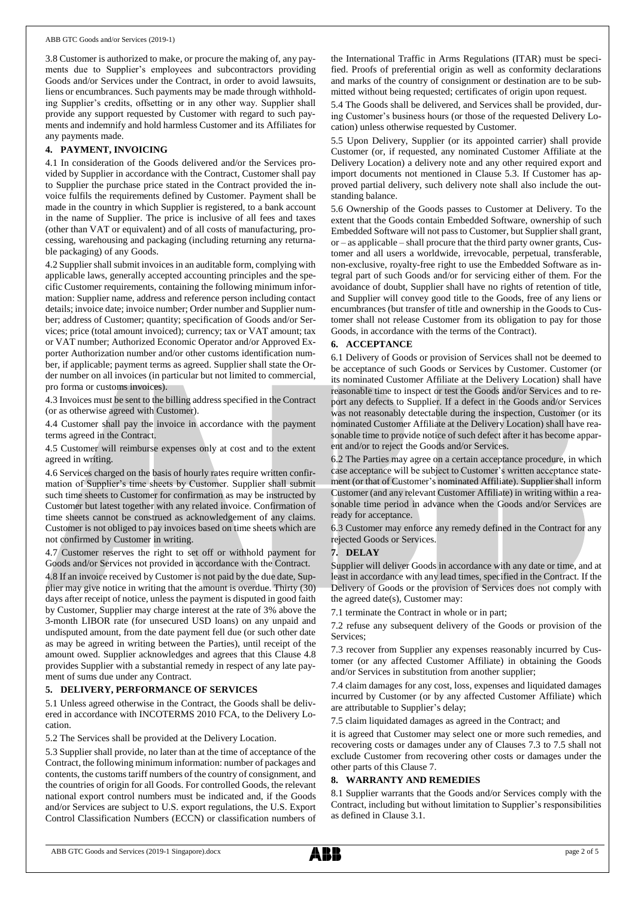3.8 Customer is authorized to make, or procure the making of, any payments due to Supplier's employees and subcontractors providing Goods and/or Services under the Contract, in order to avoid lawsuits, liens or encumbrances. Such payments may be made through withholding Supplier's credits, offsetting or in any other way. Supplier shall provide any support requested by Customer with regard to such payments and indemnify and hold harmless Customer and its Affiliates for any payments made.

# **4. PAYMENT, INVOICING**

4.1 In consideration of the Goods delivered and/or the Services provided by Supplier in accordance with the Contract, Customer shall pay to Supplier the purchase price stated in the Contract provided the invoice fulfils the requirements defined by Customer. Payment shall be made in the country in which Supplier is registered, to a bank account in the name of Supplier. The price is inclusive of all fees and taxes (other than VAT or equivalent) and of all costs of manufacturing, processing, warehousing and packaging (including returning any returnable packaging) of any Goods.

4.2 Supplier shall submit invoices in an auditable form, complying with applicable laws, generally accepted accounting principles and the specific Customer requirements, containing the following minimum information: Supplier name, address and reference person including contact details; invoice date; invoice number; Order number and Supplier number; address of Customer; quantity; specification of Goods and/or Services; price (total amount invoiced); currency; tax or VAT amount; tax or VAT number; Authorized Economic Operator and/or Approved Exporter Authorization number and/or other customs identification number, if applicable; payment terms as agreed. Supplier shall state the Order number on all invoices (in particular but not limited to commercial, pro forma or customs invoices).

4.3 Invoices must be sent to the billing address specified in the Contract (or as otherwise agreed with Customer).

4.4 Customer shall pay the invoice in accordance with the payment terms agreed in the Contract.

4.5 Customer will reimburse expenses only at cost and to the extent agreed in writing.

4.6 Services charged on the basis of hourly rates require written confirmation of Supplier's time sheets by Customer. Supplier shall submit such time sheets to Customer for confirmation as may be instructed by Customer but latest together with any related invoice. Confirmation of time sheets cannot be construed as acknowledgement of any claims. Customer is not obliged to pay invoices based on time sheets which are not confirmed by Customer in writing.

4.7 Customer reserves the right to set off or withhold payment for Goods and/or Services not provided in accordance with the Contract.

4.8 If an invoice received by Customer is not paid by the due date, Supplier may give notice in writing that the amount is overdue. Thirty (30) days after receipt of notice, unless the payment is disputed in good faith by Customer, Supplier may charge interest at the rate of 3% above the 3-month LIBOR rate (for unsecured USD loans) on any unpaid and undisputed amount, from the date payment fell due (or such other date as may be agreed in writing between the Parties), until receipt of the amount owed. Supplier acknowledges and agrees that this Clause 4.8 provides Supplier with a substantial remedy in respect of any late payment of sums due under any Contract.

## **5. DELIVERY, PERFORMANCE OF SERVICES**

5.1 Unless agreed otherwise in the Contract, the Goods shall be delivered in accordance with INCOTERMS 2010 FCA, to the Delivery Location.

5.2 The Services shall be provided at the Delivery Location.

5.3 Supplier shall provide, no later than at the time of acceptance of the Contract, the following minimum information: number of packages and contents, the customs tariff numbers of the country of consignment, and the countries of origin for all Goods. For controlled Goods, the relevant national export control numbers must be indicated and, if the Goods and/or Services are subject to U.S. export regulations, the U.S. Export Control Classification Numbers (ECCN) or classification numbers of the International Traffic in Arms Regulations (ITAR) must be specified. Proofs of preferential origin as well as conformity declarations and marks of the country of consignment or destination are to be submitted without being requested; certificates of origin upon request.

5.4 The Goods shall be delivered, and Services shall be provided, during Customer's business hours (or those of the requested Delivery Location) unless otherwise requested by Customer.

5.5 Upon Delivery, Supplier (or its appointed carrier) shall provide Customer (or, if requested, any nominated Customer Affiliate at the Delivery Location) a delivery note and any other required export and import documents not mentioned in Clause 5.3. If Customer has approved partial delivery, such delivery note shall also include the outstanding balance.

5.6 Ownership of the Goods passes to Customer at Delivery. To the extent that the Goods contain Embedded Software, ownership of such Embedded Software will not passto Customer, but Supplier shall grant, or – as applicable – shall procure that the third party owner grants, Customer and all users a worldwide, irrevocable, perpetual, transferable, non-exclusive, royalty-free right to use the Embedded Software as integral part of such Goods and/or for servicing either of them. For the avoidance of doubt, Supplier shall have no rights of retention of title, and Supplier will convey good title to the Goods, free of any liens or encumbrances (but transfer of title and ownership in the Goods to Customer shall not release Customer from its obligation to pay for those Goods, in accordance with the terms of the Contract).

## **6. ACCEPTANCE**

6.1 Delivery of Goods or provision of Services shall not be deemed to be acceptance of such Goods or Services by Customer. Customer (or its nominated Customer Affiliate at the Delivery Location) shall have reasonable time to inspect or test the Goods and/or Services and to report any defects to Supplier. If a defect in the Goods and/or Services was not reasonably detectable during the inspection, Customer (or its nominated Customer Affiliate at the Delivery Location) shall have reasonable time to provide notice of such defect after it has become apparent and/or to reject the Goods and/or Services.

6.2 The Parties may agree on a certain acceptance procedure, in which case acceptance will be subject to Customer's written acceptance statement (or that of Customer's nominated Affiliate). Supplier shall inform Customer (and any relevant Customer Affiliate) in writing within a reasonable time period in advance when the Goods and/or Services are ready for acceptance.

6.3 Customer may enforce any remedy defined in the Contract for any rejected Goods or Services.

## **7. DELAY**

Supplier will deliver Goods in accordance with any date or time, and at least in accordance with any lead times, specified in the Contract. If the Delivery of Goods or the provision of Services does not comply with the agreed date(s), Customer may:

7.1 terminate the Contract in whole or in part;

7.2 refuse any subsequent delivery of the Goods or provision of the Services;

7.3 recover from Supplier any expenses reasonably incurred by Customer (or any affected Customer Affiliate) in obtaining the Goods and/or Services in substitution from another supplier;

7.4 claim damages for any cost, loss, expenses and liquidated damages incurred by Customer (or by any affected Customer Affiliate) which are attributable to Supplier's delay;

7.5 claim liquidated damages as agreed in the Contract; and

it is agreed that Customer may select one or more such remedies, and recovering costs or damages under any of Clauses 7.3 to 7.5 shall not exclude Customer from recovering other costs or damages under the other parts of this Clause 7.

#### **8. WARRANTY AND REMEDIES**

8.1 Supplier warrants that the Goods and/or Services comply with the Contract, including but without limitation to Supplier's responsibilities as defined in Clause 3.1.

ABB GTC Goods and Services (2019-1 Singapore).docx page 2 of 5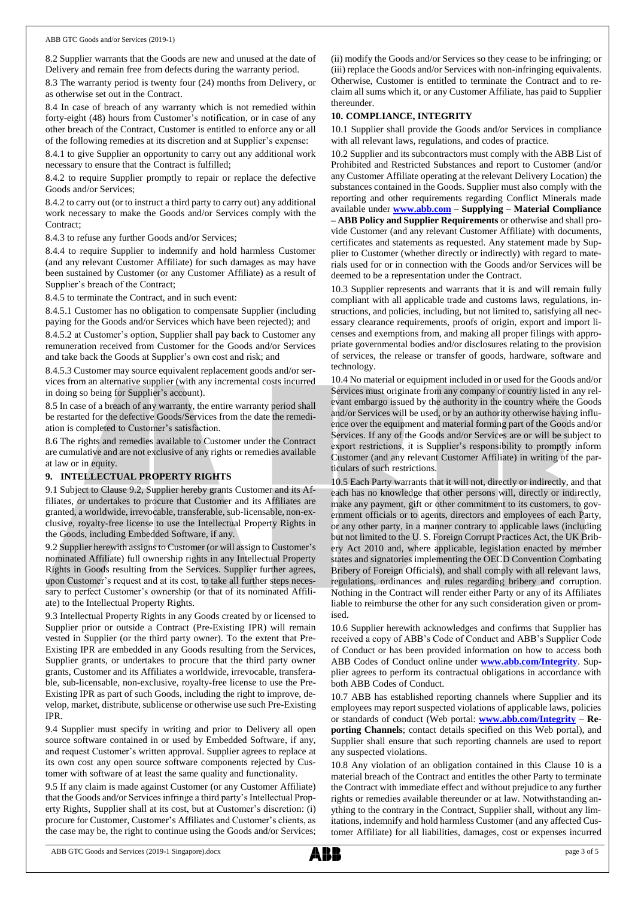8.2 Supplier warrants that the Goods are new and unused at the date of Delivery and remain free from defects during the warranty period.

8.3 The warranty period is twenty four (24) months from Delivery, or as otherwise set out in the Contract.

8.4 In case of breach of any warranty which is not remedied within forty-eight (48) hours from Customer's notification, or in case of any other breach of the Contract, Customer is entitled to enforce any or all of the following remedies at its discretion and at Supplier's expense:

8.4.1 to give Supplier an opportunity to carry out any additional work necessary to ensure that the Contract is fulfilled;

8.4.2 to require Supplier promptly to repair or replace the defective Goods and/or Services;

8.4.2 to carry out (or to instruct a third party to carry out) any additional work necessary to make the Goods and/or Services comply with the Contract;

8.4.3 to refuse any further Goods and/or Services;

8.4.4 to require Supplier to indemnify and hold harmless Customer (and any relevant Customer Affiliate) for such damages as may have been sustained by Customer (or any Customer Affiliate) as a result of Supplier's breach of the Contract;

8.4.5 to terminate the Contract, and in such event:

8.4.5.1 Customer has no obligation to compensate Supplier (including paying for the Goods and/or Services which have been rejected); and

8.4.5.2 at Customer's option, Supplier shall pay back to Customer any remuneration received from Customer for the Goods and/or Services and take back the Goods at Supplier's own cost and risk; and

8.4.5.3 Customer may source equivalent replacement goods and/or services from an alternative supplier (with any incremental costs incurred in doing so being for Supplier's account).

8.5 In case of a breach of any warranty, the entire warranty period shall be restarted for the defective Goods/Services from the date the remediation is completed to Customer's satisfaction.

8.6 The rights and remedies available to Customer under the Contract are cumulative and are not exclusive of any rights or remedies available at law or in equity.

## **9. INTELLECTUAL PROPERTY RIGHTS**

9.1 Subject to Clause 9.2, Supplier hereby grants Customer and its Affiliates, or undertakes to procure that Customer and its Affiliates are granted, a worldwide, irrevocable, transferable, sub-licensable, non-exclusive, royalty-free license to use the Intellectual Property Rights in the Goods, including Embedded Software, if any.

9.2 Supplier herewith assigns to Customer (or will assign to Customer's nominated Affiliate) full ownership rights in any Intellectual Property Rights in Goods resulting from the Services. Supplier further agrees, upon Customer's request and at its cost, to take all further steps necessary to perfect Customer's ownership (or that of its nominated Affiliate) to the Intellectual Property Rights.

9.3 Intellectual Property Rights in any Goods created by or licensed to Supplier prior or outside a Contract (Pre-Existing IPR) will remain vested in Supplier (or the third party owner). To the extent that Pre-Existing IPR are embedded in any Goods resulting from the Services, Supplier grants, or undertakes to procure that the third party owner grants, Customer and its Affiliates a worldwide, irrevocable, transferable, sub-licensable, non-exclusive, royalty-free license to use the Pre-Existing IPR as part of such Goods, including the right to improve, develop, market, distribute, sublicense or otherwise use such Pre-Existing IPR.

9.4 Supplier must specify in writing and prior to Delivery all open source software contained in or used by Embedded Software, if any, and request Customer's written approval. Supplier agrees to replace at its own cost any open source software components rejected by Customer with software of at least the same quality and functionality.

9.5 If any claim is made against Customer (or any Customer Affiliate) that the Goods and/or Services infringe a third party's Intellectual Property Rights, Supplier shall at its cost, but at Customer's discretion: (i) procure for Customer, Customer's Affiliates and Customer's clients, as the case may be, the right to continue using the Goods and/or Services; (ii) modify the Goods and/or Services so they cease to be infringing; or (iii) replace the Goods and/or Services with non-infringing equivalents. Otherwise, Customer is entitled to terminate the Contract and to reclaim all sums which it, or any Customer Affiliate, has paid to Supplier thereunder.

#### **10. COMPLIANCE, INTEGRITY**

10.1 Supplier shall provide the Goods and/or Services in compliance with all relevant laws, regulations, and codes of practice.

10.2 Supplier and its subcontractors must comply with the ABB List of Prohibited and Restricted Substances and report to Customer (and/or any Customer Affiliate operating at the relevant Delivery Location) the substances contained in the Goods. Supplier must also comply with the reporting and other requirements regarding Conflict Minerals made available under **[www.abb.com](http://www.abb.com/) – Supplying – Material Compliance – ABB Policy and Supplier Requirements** or otherwise and shall provide Customer (and any relevant Customer Affiliate) with documents, certificates and statements as requested. Any statement made by Supplier to Customer (whether directly or indirectly) with regard to materials used for or in connection with the Goods and/or Services will be deemed to be a representation under the Contract.

10.3 Supplier represents and warrants that it is and will remain fully compliant with all applicable trade and customs laws, regulations, instructions, and policies, including, but not limited to, satisfying all necessary clearance requirements, proofs of origin, export and import licenses and exemptions from, and making all proper filings with appropriate governmental bodies and/or disclosures relating to the provision of services, the release or transfer of goods, hardware, software and technology.

10.4 No material or equipment included in or used for the Goods and/or Services must originate from any company or country listed in any relevant embargo issued by the authority in the country where the Goods and/or Services will be used, or by an authority otherwise having influence over the equipment and material forming part of the Goods and/or Services. If any of the Goods and/or Services are or will be subject to export restrictions, it is Supplier's responsibility to promptly inform Customer (and any relevant Customer Affiliate) in writing of the particulars of such restrictions.

10.5 Each Party warrants that it will not, directly or indirectly, and that each has no knowledge that other persons will, directly or indirectly, make any payment, gift or other commitment to its customers, to government officials or to agents, directors and employees of each Party, or any other party, in a manner contrary to applicable laws (including but not limited to the U. S. Foreign Corrupt Practices Act, the UK Bribery Act 2010 and, where applicable, legislation enacted by member states and signatories implementing the OECD Convention Combating Bribery of Foreign Officials), and shall comply with all relevant laws, regulations, ordinances and rules regarding bribery and corruption. Nothing in the Contract will render either Party or any of its Affiliates liable to reimburse the other for any such consideration given or promised.

10.6 Supplier herewith acknowledges and confirms that Supplier has received a copy of ABB's Code of Conduct and ABB's Supplier Code of Conduct or has been provided information on how to access both ABB Codes of Conduct online under **[www.abb.com/Integrity](http://www.abb.com/Integrity)**. Supplier agrees to perform its contractual obligations in accordance with both ABB Codes of Conduct.

10.7 ABB has established reporting channels where Supplier and its employees may report suspected violations of applicable laws, policies or standards of conduct (Web portal: **[www.abb.com/Integrity](http://www.abb.com/Integrity) – Reporting Channels**; contact details specified on this Web portal), and Supplier shall ensure that such reporting channels are used to report any suspected violations.

10.8 Any violation of an obligation contained in this Clause 10 is a material breach of the Contract and entitles the other Party to terminate the Contract with immediate effect and without prejudice to any further rights or remedies available thereunder or at law. Notwithstanding anything to the contrary in the Contract, Supplier shall, without any limitations, indemnify and hold harmless Customer (and any affected Customer Affiliate) for all liabilities, damages, cost or expenses incurred

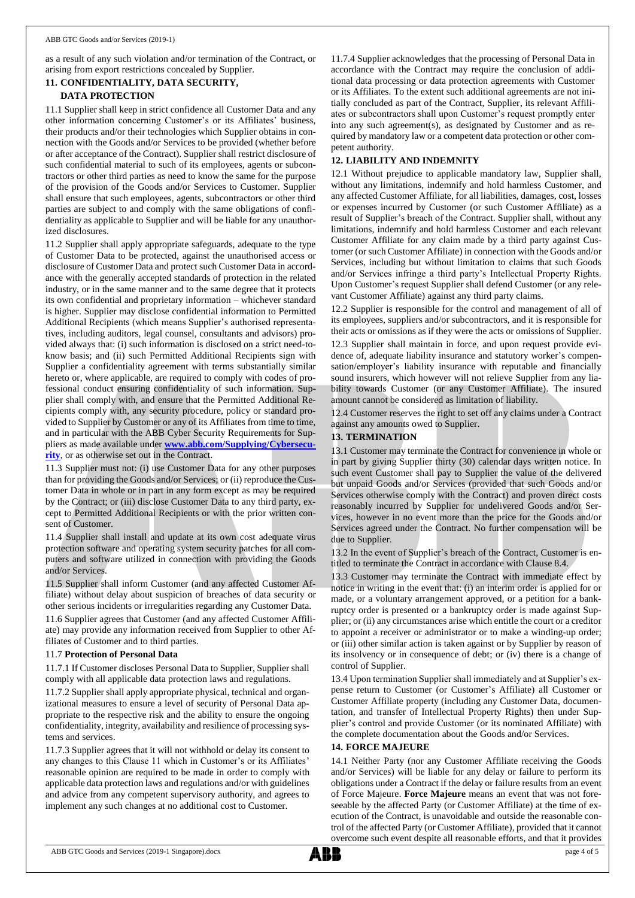as a result of any such violation and/or termination of the Contract, or arising from export restrictions concealed by Supplier.

# **11. CONFIDENTIALITY, DATA SECURITY, DATA PROTECTION**

11.1 Supplier shall keep in strict confidence all Customer Data and any other information concerning Customer's or its Affiliates' business, their products and/or their technologies which Supplier obtains in connection with the Goods and/or Services to be provided (whether before or after acceptance of the Contract). Supplier shall restrict disclosure of such confidential material to such of its employees, agents or subcontractors or other third parties as need to know the same for the purpose of the provision of the Goods and/or Services to Customer. Supplier shall ensure that such employees, agents, subcontractors or other third parties are subject to and comply with the same obligations of confidentiality as applicable to Supplier and will be liable for any unauthorized disclosures.

11.2 Supplier shall apply appropriate safeguards, adequate to the type of Customer Data to be protected, against the unauthorised access or disclosure of Customer Data and protect such Customer Data in accordance with the generally accepted standards of protection in the related industry, or in the same manner and to the same degree that it protects its own confidential and proprietary information – whichever standard is higher. Supplier may disclose confidential information to Permitted Additional Recipients (which means Supplier's authorised representatives, including auditors, legal counsel, consultants and advisors) provided always that: (i) such information is disclosed on a strict need-toknow basis; and (ii) such Permitted Additional Recipients sign with Supplier a confidentiality agreement with terms substantially similar hereto or, where applicable, are required to comply with codes of professional conduct ensuring confidentiality of such information. Supplier shall comply with, and ensure that the Permitted Additional Recipients comply with, any security procedure, policy or standard provided to Supplier by Customer or any of its Affiliates from time to time, and in particular with the ABB Cyber Security Requirements for Suppliers as made available under **[www.abb.com/Supplying/Cybersecu](http://www.abb.com/Supplying/Cybersecurity)[rity](http://www.abb.com/Supplying/Cybersecurity)**, or as otherwise set out in the Contract.

11.3 Supplier must not: (i) use Customer Data for any other purposes than for providing the Goods and/or Services; or (ii) reproduce the Customer Data in whole or in part in any form except as may be required by the Contract; or (iii) disclose Customer Data to any third party, except to Permitted Additional Recipients or with the prior written consent of Customer.

11.4 Supplier shall install and update at its own cost adequate virus protection software and operating system security patches for all computers and software utilized in connection with providing the Goods and/or Services.

11.5 Supplier shall inform Customer (and any affected Customer Affiliate) without delay about suspicion of breaches of data security or other serious incidents or irregularities regarding any Customer Data.

11.6 Supplier agrees that Customer (and any affected Customer Affiliate) may provide any information received from Supplier to other Affiliates of Customer and to third parties.

## 11.7 **Protection of Personal Data**

11.7.1 If Customer discloses Personal Data to Supplier, Supplier shall comply with all applicable data protection laws and regulations.

11.7.2 Supplier shall apply appropriate physical, technical and organizational measures to ensure a level of security of Personal Data appropriate to the respective risk and the ability to ensure the ongoing confidentiality, integrity, availability and resilience of processing systems and services.

11.7.3 Supplier agrees that it will not withhold or delay its consent to any changes to this Clause 11 which in Customer's or its Affiliates' reasonable opinion are required to be made in order to comply with applicable data protection laws and regulations and/or with guidelines and advice from any competent supervisory authority, and agrees to implement any such changes at no additional cost to Customer.

11.7.4 Supplier acknowledges that the processing of Personal Data in accordance with the Contract may require the conclusion of additional data processing or data protection agreements with Customer or its Affiliates. To the extent such additional agreements are not initially concluded as part of the Contract, Supplier, its relevant Affiliates or subcontractors shall upon Customer's request promptly enter into any such agreement(s), as designated by Customer and as required by mandatory law or a competent data protection or other competent authority.

# **12. LIABILITY AND INDEMNITY**

12.1 Without prejudice to applicable mandatory law, Supplier shall, without any limitations, indemnify and hold harmless Customer, and any affected Customer Affiliate, for all liabilities, damages, cost, losses or expenses incurred by Customer (or such Customer Affiliate) as a result of Supplier's breach of the Contract. Supplier shall, without any limitations, indemnify and hold harmless Customer and each relevant Customer Affiliate for any claim made by a third party against Customer (or such Customer Affiliate) in connection with the Goods and/or Services, including but without limitation to claims that such Goods and/or Services infringe a third party's Intellectual Property Rights. Upon Customer's request Supplier shall defend Customer (or any relevant Customer Affiliate) against any third party claims.

12.2 Supplier is responsible for the control and management of all of its employees, suppliers and/or subcontractors, and it is responsible for their acts or omissions as if they were the acts or omissions of Supplier.

12.3 Supplier shall maintain in force, and upon request provide evidence of, adequate liability insurance and statutory worker's compensation/employer's liability insurance with reputable and financially sound insurers, which however will not relieve Supplier from any liability towards Customer (or any Customer Affiliate). The insured amount cannot be considered as limitation of liability.

12.4 Customer reserves the right to set off any claims under a Contract against any amounts owed to Supplier.

# **13. TERMINATION**

13.1 Customer may terminate the Contract for convenience in whole or in part by giving Supplier thirty (30) calendar days written notice. In such event Customer shall pay to Supplier the value of the delivered but unpaid Goods and/or Services (provided that such Goods and/or Services otherwise comply with the Contract) and proven direct costs reasonably incurred by Supplier for undelivered Goods and/or Services, however in no event more than the price for the Goods and/or Services agreed under the Contract. No further compensation will be due to Supplier.

13.2 In the event of Supplier's breach of the Contract, Customer is entitled to terminate the Contract in accordance with Clause 8.4.

13.3 Customer may terminate the Contract with immediate effect by notice in writing in the event that: (i) an interim order is applied for or made, or a voluntary arrangement approved, or a petition for a bankruptcy order is presented or a bankruptcy order is made against Supplier; or (ii) any circumstances arise which entitle the court or a creditor to appoint a receiver or administrator or to make a winding-up order; or (iii) other similar action is taken against or by Supplier by reason of its insolvency or in consequence of debt; or (iv) there is a change of control of Supplier.

13.4 Upon termination Supplier shall immediately and at Supplier's expense return to Customer (or Customer's Affiliate) all Customer or Customer Affiliate property (including any Customer Data, documentation, and transfer of Intellectual Property Rights) then under Supplier's control and provide Customer (or its nominated Affiliate) with the complete documentation about the Goods and/or Services.

## **14. FORCE MAJEURE**

14.1 Neither Party (nor any Customer Affiliate receiving the Goods and/or Services) will be liable for any delay or failure to perform its obligations under a Contract if the delay or failure results from an event of Force Majeure. **Force Majeure** means an event that was not foreseeable by the affected Party (or Customer Affiliate) at the time of execution of the Contract, is unavoidable and outside the reasonable control of the affected Party (or Customer Affiliate), provided that it cannot overcome such event despite all reasonable efforts, and that it provides